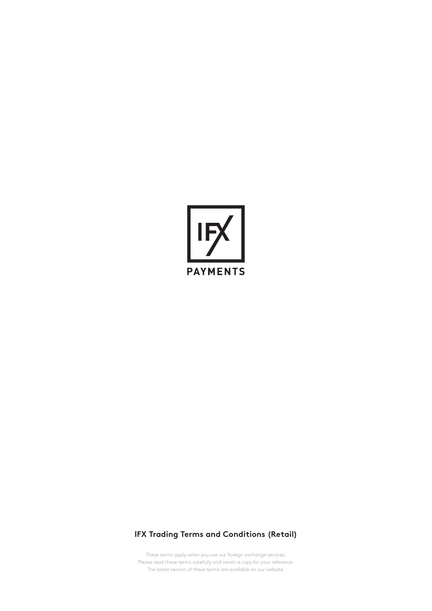

# **IFX Trading Terms and Conditions (Retail)**

These terms apply when you use our foreign exchange services. Please read these terms carefully and retain a copy for your reference. The latest version of these terms are available on our website.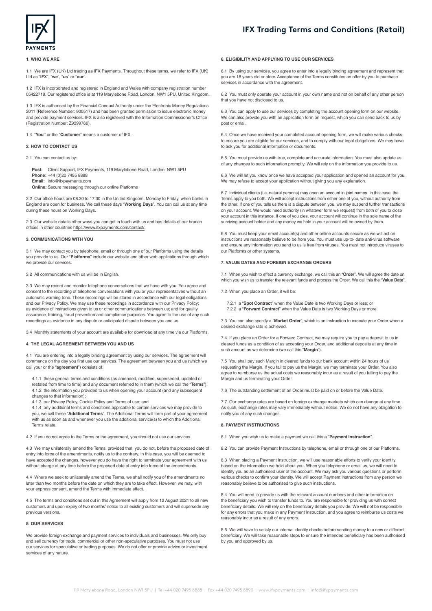



## **1. WHO WE ARE**

1.1 We are IFX (UK) Ltd trading as IFX Payments. Throughout these terms, we refer to IFX (UK) Ltd as "**IFX**", "**we**", "**us**" or "**our**".

1.2 IFX is incorporated and registered in England and Wales with company registration number 05422718. Our registered office is at 119 Marylebone Road, London, NW1 5PU, United Kingdom.

1.3 IFX is authorised by the Financial Conduct Authority under the Electronic Money Regulations 2011 (Reference Number: 900517) and has been granted permission to issue electronic money and provide payment services. IFX is also registered with the Information Commissioner's Office (Registration Number: Z9399766).

1.4 "**You"** or the "**Customer**" means a customer of IFX.

## **2. HOW TO CONTACT US**

2.1 You can contact us by:

**Post:** Client Support, IFX Payments, 119 Marylebone Road, London, NW1 5PU **Phone:** +44 (0)20 7495 8888 **Email:** [info@ifxpayments.com](mailto:info%40ifxpayments.com?subject=) **Online:** Secure messaging through our online Platforms

2.2 Our office hours are 08.30 to 17.30 in the United Kingdom, Monday to Friday, when banks in England are open for business. We call these days "**Working Days**". You can call us at any time during these hours on Working Days.

2.3 Our website details other ways you can get in touch with us and has details of our branch offices in other countries <https://www.ifxpayments.com/contact/>.

#### **3. COMMUNICATIONS WITH YOU**

3.1 We may contact you by telephone, email or through one of our Platforms using the details you provide to us. Our "**Platforms**" include our website and other web applications through which we provide our services

#### 3.2 All communications with us will be in English.

3.3 We may record and monitor telephone conversations that we have with you. You agree and consent to the recording of telephone conversations with you or your representatives without an automatic warning tone. These recordings will be stored in accordance with our legal obligations and our Privacy Policy. We may use these recordings in accordance with our Privacy Policy; as evidence of instructions given to us or other communications between us; and for quality assurance, training, fraud prevention and compliance purposes. You agree to the use of any such recordings as evidence in any dispute or anticipated dispute between you and us.

3.4 Monthly statements of your account are available for download at any time via our Platforms.

## **4. THE LEGAL AGREEMENT BETWEEN YOU AND US**

4.1 You are entering into a legally binding agreement by using our services. The agreement will commence on the day you first use our services. The agreement between you and us (which we call your or the "**agreement**") consists of:

4.1.1 these general terms and conditions (as amended, modified, superseded, updated or restated from time to time) and any document referred to in them (which we call the "**Terms**"); 4.1.2 the information you provided to us when opening your account (and any subsequent changes to that information);

4.1.3 our [Privacy Policy](https://www.ifxpayments.com/privacy/), [Cookie Policy](https://www.ifxpayments.com/cookies/) and [Terms of use;](https://www.ifxpayments.com/website-terms-and-conditions/) and

4.1.4 any additional terms and conditions applicable to certain services we may provide to you, we call these "**Additional Terms**". The Additional Terms will form part of your agreement with us as soon as and whenever you use the additional service(s) to which the Additional Terms relate.

4.2 If you do not agree to the Terms or the agreement, you should not use our services.

4.3 We may unilaterally amend the Terms, provided that, you do not, before the proposed date of entry into force of the amendments, notify us to the contrary. In this case, you will be deemed to have accepted the changes, however you do have the right to terminate your agreement with us without charge at any time before the proposed date of entry into force of the amendments.

4.4 Where we seek to unilaterally amend the Terms, we shall notify you of the amendments no later than two months before the date on which they are to take effect. However, we may, with your express consent, amend the Terms with immediate effect.

4.5 The terms and conditions set out in this Agreement will apply from 12 August 2021 to all new customers and upon expiry of two months' notice to all existing customers and will supersede any previous versions.

# **5. OUR SERVICES**

We provide foreign exchange and payment services to individuals and businesses. We only buy and sell currency for trade, commercial or other non-speculative purposes. You must not use our services for speculative or trading purposes. We do not offer or provide advice or investment services of any nature.

## **6. ELIGIBILITY AND APPLYING TO USE OUR SERVICES**

6.1 By using our services, you agree to enter into a legally binding agreement and represent that you are 18 years old or older. Acceptance of the Terms constitutes an offer by you to purchase services in accordance with the agreement.

6.2 You must only operate your account in your own name and not on behalf of any other person that you have not disclosed to us.

6.3 You can apply to use our services by completing the account opening form on our website. We can also provide you with an application form on request, which you can send back to us by post or email.

6.4 Once we have received your completed account opening form, we will make various checks to ensure you are eligible for our services, and to comply with our legal obligations. We may have to ask you for additional information or documents.

6.5 You must provide us with true, complete and accurate information. You must also update us of any changes to such information promptly. We will rely on the information you provide to us.

6.6 We will let you know once we have accepted your application and opened an account for you. We may refuse to accept your application without giving you any explanation.

6.7 Individual clients (i.e. natural persons) may open an account in joint names. In this case, the Terms apply to you both. We will accept instructions from either one of you, without authority from the other. If one of you tells us there is a dispute between you, we may suspend further transactions on your account. We would need authority (in whatever form we request) from both of you to close your account in this instance. If one of you dies, your account will continue in the sole name of the surviving account holder and any money we hold in your account will be owned by them.

6.8 You must keep your email account(s) and other online accounts secure as we will act on instructions we reasonably believe to be from you. You must use up-to- date anti-virus software and ensure any information you send to us is free from viruses. You must not introduce viruses to our Platforms or other systems.

### **7. VALUE DATES AND FOREIGN EXCHANGE ORDERS**

7.1 When you wish to effect a currency exchange, we call this an "**Order**". We will agree the date on which you wish us to transfer the relevant funds and process the Order. We call this the "**Value Date**".

7.2 When you place an Order, it will be:

7.2.1 a "**Spot Contract**" when the Value Date is two Working Days or less; or 7.2.2 a "**Forward Contract**" when the Value Date is two Working Days or more.

7.3 You can also specify a "**Market Order**", which is an instruction to execute your Order when a desired exchange rate is achieved.

7.4 If you place an Order for a Forward Contract, we may require you to pay a deposit to us in cleared funds as a condition of us accepting your Order, and additional deposits at any time in such amount as we determine (we call this "**Margin**").

7.5 You shall pay such Margin in cleared funds to our bank account within 24 hours of us requesting the Margin. If you fail to pay us the Margin, we may terminate your Order. You also agree to reimburse us the actual costs we reasonably incur as a result of you failing to pay the Margin and us terminating your Order.

7.6 The outstanding settlement of an Order must be paid on or before the Value Date.

7.7 Our exchange rates are based on foreign exchange markets which can change at any time. As such, exchange rates may vary immediately without notice. We do not have any obligation to notify you of any such changes.

#### **8. PAYMENT INSTRUCTIONS**

8.1 When you wish us to make a payment we call this a "**Payment Instruction**".

8.2 You can provide Payment Instructions by telephone, email or through one of our Platforms.

8.3 When placing a Payment Instruction, we will use reasonable efforts to verify your identity based on the information we hold about you. When you telephone or email us, we will need to identify you as an authorised user of the account. We may ask you various questions or perform various checks to confirm your identity. We will accept Payment Instructions from any person we reasonably believe to be authorised to give such instructions.

8.4 You will need to provide us with the relevant account numbers and other information on the beneficiary you wish to transfer funds to. You are responsible for providing us with correct beneficiary details. We will rely on the beneficiary details you provide. We will not be responsible for any errors that you make in any Payment Instruction, and you agree to reimburse us costs we reasonably incur as a result of any errors.

8.5 We will have to satisfy our internal identity checks before sending money to a new or different beneficiary. We will take reasonable steps to ensure the intended beneficiary has been authorised by you and approved by us.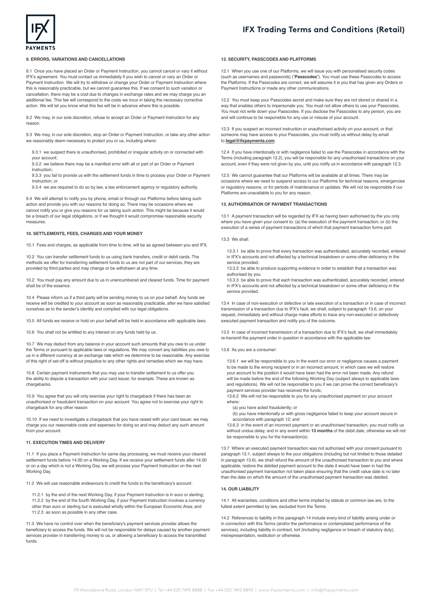

## **9. ERRORS, VARIATIONS AND CANCELLATIONS**

9.1 Once you have placed an Order or Payment Instruction, you cannot cancel or vary it without IFX's agreement. You must contact us immediately if you wish to cancel or vary an Order or Payment Instruction. We will try to withdraw or change your Order or Payment Instruction where this is reasonably practicable, but we cannot guarantee this. If we consent to such variation or cancellation, there may be a cost due to changes in exchange rates and we may charge you an additional fee. This fee will correspond to the costs we incur in taking the necessary corrective action. We will let you know what this fee will be in advance where this is possible.

9.2 We may, in our sole discretion, refuse to accept an Order or Payment Instruction for any reason.

9.3 We may, in our sole discretion, stop an Order or Payment Instruction, or take any other action we reasonably deem necessary to protect you or us, including where

9.3.1 we suspect there is unauthorised, prohibited or irregular activity on or connected with your account;

9.3.2 we believe there may be a manifest error with all or part of an Order or Payment Instruction;

9.3.3 you fail to provide us with the settlement funds in time to process your Order or Payment Instruction; or

9.3.4 we are required to do so by law, a law enforcement agency or regulatory authority

9.4 We will attempt to notify you by phone, email or through our Platforms before taking such action and provide you with our reasons for doing so. There may be occasions where we cannot notify you or give you reasons for us taking such action. This might be because it would be a breach of our legal obligations, or if we thought it would compromise reasonable security measures.

### **10. SETTLEMENTS, FEES, CHARGES AND YOUR MONEY**

10.1 Fees and charges, as applicable from time to time, will be as agreed between you and IFX.

10.2 You can transfer settlement funds to us using bank transfers, credit or debit cards. The methods we offer for transferring settlement funds to us are not part of our services, they are provided by third parties and may change or be withdrawn at any time.

10.2 You must pay any amount due to us in unencumbered and cleared funds. Time for payment shall be of the essence.

10.4 Please inform us if a third party will be sending money to us on your behalf. Any funds we receive will be credited to your account as soon as reasonably practicable, after we have satisfied ourselves as to the sender's identity and complied with our legal obligations.

10.5 All funds we receive or hold on your behalf will be held in accordance with applicable laws.

10.6 You shall not be entitled to any interest on any funds held by us.

10.7 We may deduct from any balance in your account such amounts that you owe to us under the Terms or pursuant to applicable laws or regulations. We may convert any liabilities you owe to us in a different currency at an exchange rate which we determine to be reasonable. Any exercise of this right of set-off is without prejudice to any other rights and remedies which we may have.

10.8 Certain payment instruments that you may use to transfer settlement to us offer you the ability to dispute a transaction with your card issuer, for example. These are known as chargebacks.

10.9 You agree that you will only exercise your right to chargeback if there has been an unauthorised or fraudulent transaction on your account. You agree not to exercise your right to chargeback for any other reason.

10.10 If we need to investigate a chargeback that you have raised with your card issuer, we may charge you our reasonable costs and expenses for doing so and may deduct any such amount from your account.

## **11. EXECUTION TIMES AND DELIVERY**

11.1 If you place a Payment Instruction for same day processing, we must receive your cleared settlement funds before 14.00 on a Working Day. If we receive your settlement funds after 14.00 or on a day which is not a Working Day, we will process your Payment Instruction on the next Working Day.

11.2 We will use reasonable endeavours to credit the funds to the beneficiary's account:

11.2.1 by the end of the next Working Day, if your Payment Instruction is in euro or sterling; 11.2.2 by the end of the fourth Working Day, if your Payment Instruction involves a currency other than euro or sterling but is executed wholly within the European Economic Area; and 11.2.3 as soon as possible in any other case.

11.3 We have no control over when the beneficiary's payment services provider allows the beneficiary to access the funds. We will not be responsible for delays caused by another payment services provider in transferring money to us, or allowing a beneficiary to access the transmitted funds.

## **12. SECURITY, PASSCODES AND PLATFORMS**

12.1 When you use one of our Platforms, we will issue you with personalised security codes (such as usernames and passwords) ("**Passcodes**"). You must use these Passcodes to access the Platforms. If the Passcodes are correct, we will assume it is you that has given any Orders or Payment Instructions or made any other communications.

12.2 You must keep your Passcodes secret and make sure they are not stored or shared in a way that enables others to impersonate you. You must not allow others to use your Passcodes. You must not write down your Passcodes. If you disclose the Passcodes to any person, you are and will continue to be responsible for any use or misuse of your account.

12.3 If you suspect an incorrect instruction or unauthorised activity on your account, or that someone may have access to your Passcodes, you must notify us without delay by email to **[legal@ifxpayments.com](mailto:regulatory%40ifxpayments.com?subject=)**.

12.4 If you have intentionally or with negligence failed to use the Passcodes in accordance with the Terms (including paragraph 12.2), you will be responsible for any unauthorised transactions on your account, even if they were not given by you, until you notify us in accordance with paragraph 12.3.

12.5 We cannot guarantee that our Platforms will be available at all times. There may be occasions where we need to suspend access to our Platforms for technical reasons, emergencies or regulatory reasons, or for periods of maintenance or updates. We will not be responsible if our Platforms are unavailable to you for any reason.

## **13. AUTHORISATION OF PAYMENT TRANSACTIONS**

13.1 A payment transaction will be regarded by IFX as having been authorised by the you only where you have given your consent to: (a) the execution of the payment transaction; or (b) the execution of a series of payment transactions of which that payment transaction forms part.

#### 13.3 We shall:

13.3.1 be able to prove that every transaction was authenticated, accurately recorded, entered in IFX's accounts and not affected by a technical breakdown or some other deficiency in the service provided;

13.3.2 be able to produce supporting evidence in order to establish that a transaction was authorised by you.

13.3.3 be able to prove that each transaction was authenticated, accurately recorded, entered in IFX's accounts and not affected by a technical breakdown or some other deficiency in the service provided.

13.4 In case of non-execution or defective or late execution of a transaction or in case of incorrect transmission of a transaction due to IFX's fault, we shall, subject to paragraph 13.6, on your request, immediately and without charge make efforts to trace any non-executed or defectively executed payment transaction and notify you of the outcome.

13.5 In case of incorrect transmission of a transaction due to IFX's fault, we shall immediately re-transmit the payment order in question in accordance with the applicable law.

13.6 As you are a consumer:

13.6.1 we will be responsible to you in the event our error or negligence causes a payment to be made to the wrong recipient or in an incorrect amount, in which case we will restore your account to the position it would have been had the error not been made. Any refund will be made before the end of the following Working Day (subject always to applicable laws and regulations). We will not be responsible to you if we can prove the correct beneficiary's payment services provider has received the funds;

13.6.2 We will not be responsible to you for any unauthorised payment on your account where:

(a) you have acted fraudulently; or

(b) you have intentionally or with gross negligence failed to keep your account secure in accordance with paragraph 12; and

13.6.3 in the event of an incorrect payment or an unauthorised transaction, you must notify us without undue delay, and in any event within **13 months** of the debit date, otherwise we will not be responsible to you for the transaction(s).

13.7 Where an executed payment transaction was not authorised with your consent pursuant to paragraph 13.1, subject always to the your obligations (including but not limited to those detailed in paragraph 13.6), we shall refund the amount of the unauthorised transaction to you and where applicable, restore the debited payment account to the state it would have been in had the unauthorised payment transaction not taken place ensuring that the credit value date is no later than the date on which the amount of the unauthorised payment transaction was debited.

## **14. OUR LIABILITY**

14.1 All warranties, conditions and other terms implied by statute or common law are, to the fullest extent permitted by law, excluded from the Terms.

14.2 References to liability in this paragraph 14 include every kind of liability arising under or in connection with this Terms (and/or the performance or contemplated performance of the services), including liability in contract, tort (including negligence or breach of statutory duty), misrepresentation, restitution or otherwise.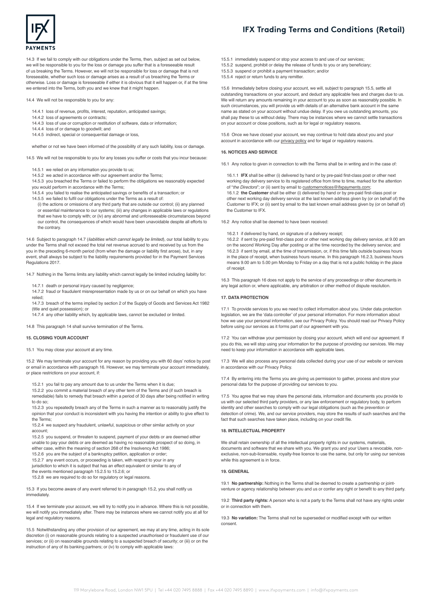

14.3 If we fail to comply with our obligations under the Terms, then, subject as set out below, we will be responsible to you for the loss or damage you suffer that is a foreseeable result of us breaking the Terms. However, we will not be responsible for loss or damage that is not foreseeable, whether such loss or damage arises as a result of us breaching the Terms or otherwise. Loss or damage is foreseeable if either it is obvious that it will happen or, if at the time we entered into the Terms, both you and we knew that it might happen.

14.4 We will not be responsible to you for any:

- 14.4.1 loss of revenue, profits, interest, reputation, anticipated savings;
- 14.4.2 loss of agreements or contracts;
- 14.4.3 loss of use or corruption or restitution of software, data or information;
- 14.4.4 loss of or damage to goodwill; and
- 14.4.5 indirect, special or consequential damage or loss,

whether or not we have been informed of the possibility of any such liability, loss or damage

14.5 We will not be responsible to you for any losses you suffer or costs that you incur because:

- 14.5.1 we relied on any information you provide to us;
- 14.5.2 we acted in accordance with our agreement and/or the Terms;

14.5.3 you breached the Terms or failed to perform the obligations we reasonably expected you would perform in accordance with the Terms;

14.5.4 you failed to realise the anticipated savings or benefits of a transaction; or

- 14.5.5 we failed to fulfil our obligations under the Terms as a result of:
	- (i) the actions or omissions of any third party that are outside our control; (ii) any planned or essential maintenance to our systems; (iii) any changes in applicable laws or regulations that we have to comply with; or (iv) any abnormal and unforeseeable circumstances beyond our control, the consequences of which would have been unavoidable despite all efforts to the contrary.

14.6 Subject to paragraph 14.7 (*liabilities which cannot legally be limited*), our total liability to you under the Terms shall not exceed the total net revenue accrued to and received by us from the you in the preceding 6-month period (from when the damage or liability first arose), but, in any event, shall always be subject to the liability requirements provided for in the Payment Services Regulations 2017.

14.7 Nothing in the Terms limits any liability which cannot legally be limited including liability for:

- 14.7.1 death or personal injury caused by negligence:
- 14.7.2 fraud or fraudulent misrepresentation made by us or on our behalf on which you have relied;
- 14.7.3 breach of the terms implied by section 2 of the Supply of Goods and Services Act 1982 (title and quiet possession); or

14.7.4 any other liability which, by applicable laws, cannot be excluded or limited.

14.8 This paragraph 14 shall survive termination of the Terms.

# **15. CLOSING YOUR ACCOUNT**

15.1 You may close your account at any time.

15.2 We may terminate your account for any reason by providing you with 60 days' notice by post or email in accordance with paragraph 16. However, we may terminate your account immediately, or place restrictions on your account, if:

15.2.1 you fail to pay any amount due to us under the Terms when it is due;

15.2.2 you commit a material breach of any other term of the Terms and (if such breach is remediable) fails to remedy that breach within a period of 30 days after being notified in writing to do so;

15.2.3 you repeatedly breach any of the Terms in such a manner as to reasonably justify the opinion that your conduct is inconsistent with you having the intention or ability to give effect to the Terms;

15.2.4 we suspect any fraudulent, unlawful, suspicious or other similar activity on your account;

15.2.5 you suspend, or threaten to suspend, payment of your debts or are deemed either unable to pay your debts or are deemed as having no reasonable prospect of so doing, in

either case, within the meaning of section 268 of the Insolvency Act 1986;

- 15.2.6 you are the subject of a bankruptcy petition, application or order;
- 15.2.7 any event occurs, or proceeding is taken, with respect to your in any
- jurisdiction to which it is subject that has an effect equivalent or similar to any of

the events mentioned paragraph 15.2.5 to 15.2.6; or 15.2.8 we are required to do so for regulatory or legal reasons.

15.3 If you become aware of any event referred to in paragraph 15.2, you shall notify us immediately.

15.4 If we terminate your account, we will try to notify you in advance. Where this is not possible, we will notify you immediately after. There may be instances where we cannot notify you at all for legal and regulatory reasons.

15.5 Notwithstanding any other provision of our agreement, we may at any time, acting in its sole discretion (i) on reasonable grounds relating to a suspected unauthorised or fraudulent use of our services; or (ii) on reasonable grounds relating to a suspected breach of security; or (iii) or on the instruction of any of its banking partners; or (iv) to comply with applicable laws

- 15.5.1 immediately suspend or stop your access to and use of our services;
- 15.5.2 suspend, prohibit or delay the release of funds to you or any beneficiary;
- 15.5.3 suspend or prohibit a payment transaction; and/or
- 15.5.4 reject or return funds to any remitter.

15.6 Immediately before closing your account, we will, subject to paragraph 15.5, settle all outstanding transactions on your account, and deduct any applicable fees and charges due to us. We will return any amounts remaining in your account to you as soon as reasonably possible. In such circumstances, you will provide us with details of an alternative bank account in the same name as stated on your account without undue delay. If you owe us outstanding amounts, you shall pay these to us without delay. There may be instances where we cannot settle transactions on your account or close positions, such as for legal or regulatory reasons.

15.6 Once we have closed your account, we may continue to hold data about you and your account in accordance with our [privacy policy](https://www.ifxpayments.com/privacy/) and for legal or regulatory reasons.

#### **16. NOTICES AND SERVICE**

the Customer to IFX.

16.1 Any notice to given in connection to with the Terms shall be in writing and in the case of:

16.1.1 **IFX** shall be either (i) delivered by hand or by pre-paid first-class post or other next working day delivery service to its registered office from time to time, marked for the attention of "*the Directors*"; or (ii) sent by email to **customernotices@ifxpayments.com**;

16.1.2 **the Customer** shall be either (i) delivered by hand or by pre-paid first-class post or other next working day delivery service at the last known address given by (or on behalf of) the Customer to IFX; or (ii) sent by email to the last known email address given by (or on behalf of)

16.2 Any notice shall be deemed to have been received:

16.2.1 if delivered by hand, on signature of a delivery receipt;

16.2.2 if sent by pre-paid first-class post or other next working day delivery service, at 9.00 am on the second Working Day after posting or at the time recorded by the delivery service; and 16.2.3 if sent by email, at the time of transmission, or, if this time falls outside business hours in the place of receipt, when business hours resume. In this paragraph 16.2.3, business hours means 9.00 am to 5.00 pm Monday to Friday on a day that is not a public holiday in the place of receipt.

16.3 This paragraph 16 does not apply to the service of any proceedings or other documents in any legal action or, where applicable, any arbitration or other method of dispute resolution.

### **17. DATA PROTECTION**

17.1 To provide services to you we need to collect information about you. Under data protection legislation, we are the 'data controller' of your personal information. For more information about how we use your personal information, see our [Privacy Policy](https://www.revolut.com/legal/privacy). You should read our Privacy Policy before using our services as it forms part of our agreement with you.

17.2 You can withdraw your permission by closing your account, which will end our agreement. If you do this, we will stop using your information for the purpose of providing our services. We may need to keep your information in accordance with applicable laws.

17.3 We will also process any personal data collected during your use of our website or services in accordance with our [Privacy Policy](https://www.ifxpayments.com/privacy/).

17.4 By entering into the Terms you are giving us permission to gather, process and store your personal data for the purpose of providing our services to you.

17.5 You agree that we may share the personal data, information and documents you provide to us with our selected third party providers, or any law enforcement or regulatory body, to perform identity and other searches to comply with our legal obligations (such as the prevention or detection of crime). We, and our service providers, may store the results of such searches and the fact that such searches have taken place, including on your credit file.

## **18. INTELLECTUAL PROPERTY**

We shall retain ownership of all the intellectual property rights in our systems, materials, documents and software that we share with you. We grant you and your Users a revocable, nonexclusive, non-sub-licensable, royalty-free licence to use the same, but only for using our services while this agreement is in force.

## **19. GENERAL**

19.1 **No partnership:** Nothing in the Terms shall be deemed to create a partnership or jointventure or agency relationship between you and us or confer any right or benefit to any third party.

19.2 **Third party rights:** A person who is not a party to the Terms shall not have any rights under or in connection with them.

19.3 **No variation:** The Terms shall not be superseded or modified except with our written consent.

# **IFX Trading Terms and Conditions (Retail)**